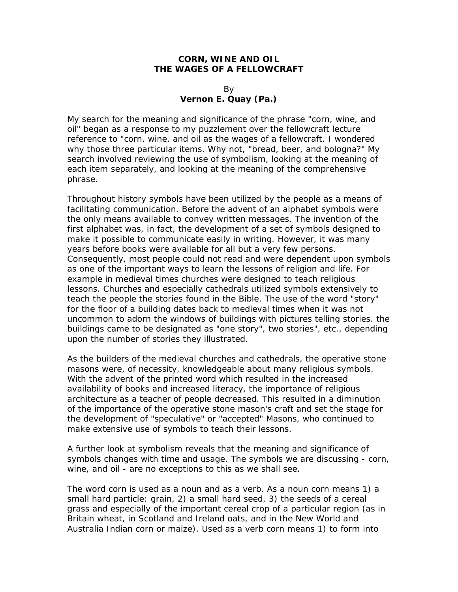## **CORN, WINE AND OIL THE WAGES OF A FELLOWCRAFT**

## By **Vernon E. Quay (Pa.)**

My search for the meaning and significance of the phrase "corn, wine, and oil" began as a response to my puzzlement over the fellowcraft lecture reference to "corn, wine, and oil as the wages of a fellowcraft. I wondered why those three particular items. Why not, "bread, beer, and bologna?" My search involved reviewing the use of symbolism, looking at the meaning of each item separately, and looking at the meaning of the comprehensive phrase.

Throughout history symbols have been utilized by the people as a means of facilitating communication. Before the advent of an alphabet symbols were the only means available to convey written messages. The invention of the first alphabet was, in fact, the development of a set of symbols designed to make it possible to communicate easily in writing. However, it was many years before books were available for all but a very few persons. Consequently, most people could not read and were dependent upon symbols as one of the important ways to learn the lessons of religion and life. For example in medieval times churches were designed to teach religious lessons. Churches and especially cathedrals utilized symbols extensively to teach the people the stories found in the Bible. The use of the word "story" for the floor of a building dates back to medieval times when it was not uncommon to adorn the windows of buildings with pictures telling stories. the buildings came to be designated as "one story", two stories", etc., depending upon the number of stories they illustrated.

As the builders of the medieval churches and cathedrals, the operative stone masons were, of necessity, knowledgeable about many religious symbols. With the advent of the printed word which resulted in the increased availability of books and increased literacy, the importance of religious architecture as a teacher of people decreased. This resulted in a diminution of the importance of the operative stone mason's craft and set the stage for the development of "speculative" or "accepted" Masons, who continued to make extensive use of symbols to teach their lessons.

A further look at symbolism reveals that the meaning and significance of symbols changes with time and usage. The symbols we are discussing - corn, wine, and oil - are no exceptions to this as we shall see.

The word corn is used as a noun and as a verb. As a noun corn means 1) a small hard particle: grain, 2) a small hard seed, 3) the seeds of a cereal grass and especially of the important cereal crop of a particular region (as in Britain wheat, in Scotland and Ireland oats, and in the New World and Australia Indian corn or maize). Used as a verb corn means 1) to form into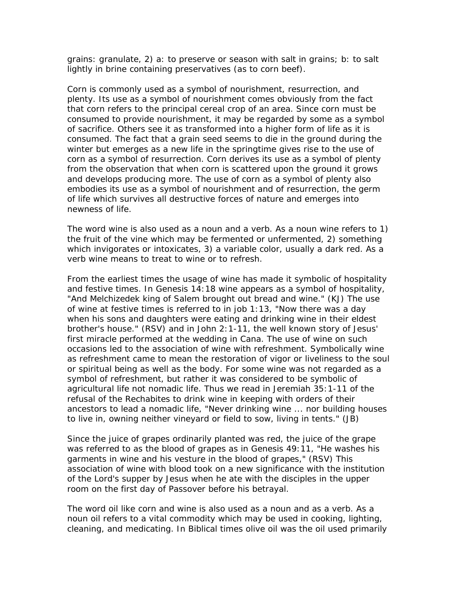grains: granulate, 2) a: to preserve or season with salt in grains; b: to salt lightly in brine containing preservatives (as to corn beef).

Corn is commonly used as a symbol of nourishment, resurrection, and plenty. Its use as a symbol of nourishment comes obviously from the fact that corn refers to the principal cereal crop of an area. Since corn must be consumed to provide nourishment, it may be regarded by some as a symbol of sacrifice. Others see it as transformed into a higher form of life as it is consumed. The fact that a grain seed seems to die in the ground during the winter but emerges as a new life in the springtime gives rise to the use of corn as a symbol of resurrection. Corn derives its use as a symbol of plenty from the observation that when corn is scattered upon the ground it grows and develops producing more. The use of corn as a symbol of plenty also embodies its use as a symbol of nourishment and of resurrection, the germ of life which survives all destructive forces of nature and emerges into newness of life.

The word wine is also used as a noun and a verb. As a noun wine refers to 1) the fruit of the vine which may be fermented or unfermented, 2) something which invigorates or intoxicates, 3) a variable color, usually a dark red. As a verb wine means to treat to wine or to refresh.

From the earliest times the usage of wine has made it symbolic of hospitality and festive times. In Genesis 14:18 wine appears as a symbol of hospitality, "And Melchizedek king of Salem brought out bread and wine." (KJ) The use of wine at festive times is referred to in job 1:13, "Now there was a day when his sons and daughters were eating and drinking wine in their eldest brother's house." (RSV) and in John 2:1-11, the well known story of Jesus' first miracle performed at the wedding in Cana. The use of wine on such occasions led to the association of wine with refreshment. Symbolically wine as refreshment came to mean the restoration of vigor or liveliness to the soul or spiritual being as well as the body. For some wine was not regarded as a symbol of refreshment, but rather it was considered to be symbolic of agricultural life not nomadic life. Thus we read in Jeremiah 35:1-11 of the refusal of the Rechabites to drink wine in keeping with orders of their ancestors to lead a nomadic life, "Never drinking wine ... nor building houses to live in, owning neither vineyard or field to sow, living in tents." (JB)

Since the juice of grapes ordinarily planted was red, the juice of the grape was referred to as the blood of grapes as in Genesis 49:11, "He washes his garments in wine and his vesture in the blood of grapes," (RSV) This association of wine with blood took on a new significance with the institution of the Lord's supper by Jesus when he ate with the disciples in the upper room on the first day of Passover before his betrayal.

The word oil like corn and wine is also used as a noun and as a verb. As a noun oil refers to a vital commodity which may be used in cooking, lighting, cleaning, and medicating. In Biblical times olive oil was the oil used primarily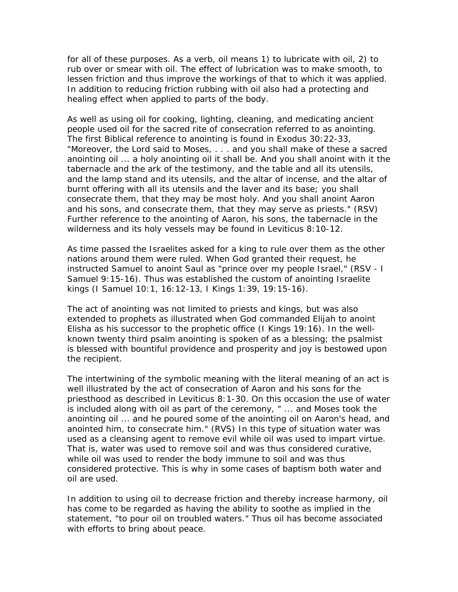for all of these purposes. As a verb, oil means 1) to lubricate with oil, 2) to rub over or smear with oil. The effect of lubrication was to make smooth, to lessen friction and thus improve the workings of that to which it was applied. In addition to reducing friction rubbing with oil also had a protecting and healing effect when applied to parts of the body.

As well as using oil for cooking, lighting, cleaning, and medicating ancient people used oil for the sacred rite of consecration referred to as anointing. The first Biblical reference to anointing is found in Exodus 30:22-33, "Moreover, the Lord said to Moses, . . . and you shall make of these a sacred anointing oil ... a holy anointing oil it shall be. And you shall anoint with it the tabernacle and the ark of the testimony, and the table and all its utensils, and the lamp stand and its utensils, and the altar of incense, and the altar of burnt offering with all its utensils and the laver and its base; you shall consecrate them, that they may be most holy. And you shall anoint Aaron and his sons, and consecrate them, that they may serve as priests." (RSV) Further reference to the anointing of Aaron, his sons, the tabernacle in the wilderness and its holy vessels may be found in Leviticus 8:10-12.

As time passed the Israelites asked for a king to rule over them as the other nations around them were ruled. When God granted their request, he instructed Samuel to anoint Saul as "prince over my people Israel," (RSV - I Samuel 9:15-16). Thus was established the custom of anointing Israelite kings (I Samuel 10:1, 16:12-13, I Kings 1:39, 19:15-16).

The act of anointing was not limited to priests and kings, but was also extended to prophets as illustrated when God commanded Elijah to anoint Elisha as his successor to the prophetic office (I Kings 19:16). In the wellknown twenty third psalm anointing is spoken of as a blessing; the psalmist is blessed with bountiful providence and prosperity and joy is bestowed upon the recipient.

The intertwining of the symbolic meaning with the literal meaning of an act is well illustrated by the act of consecration of Aaron and his sons for the priesthood as described in Leviticus 8:1-30. On this occasion the use of water is included along with oil as part of the ceremony, " ... and Moses took the anointing oil ... and he poured some of the anointing oil on Aaron's head, and anointed him, to consecrate him." (RVS) In this type of situation water was used as a cleansing agent to remove evil while oil was used to impart virtue. That is, water was used to remove soil and was thus considered curative, while oil was used to render the body immune to soil and was thus considered protective. This is why in some cases of baptism both water and oil are used.

In addition to using oil to decrease friction and thereby increase harmony, oil has come to be regarded as having the ability to soothe as implied in the statement, "to pour oil on troubled waters." Thus oil has become associated with efforts to bring about peace.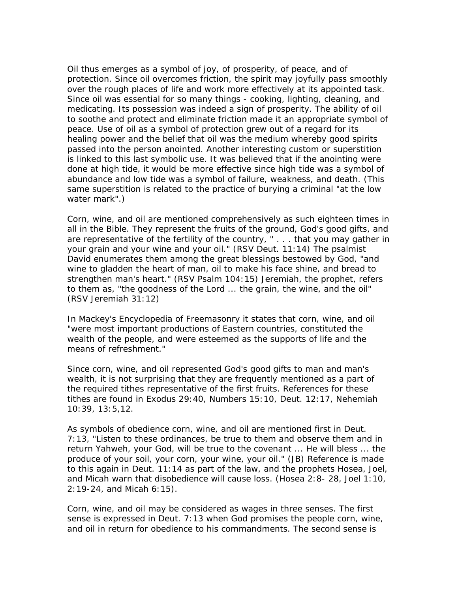Oil thus emerges as a symbol of joy, of prosperity, of peace, and of protection. Since oil overcomes friction, the spirit may joyfully pass smoothly over the rough places of life and work more effectively at its appointed task. Since oil was essential for so many things - cooking, lighting, cleaning, and medicating. Its possession was indeed a sign of prosperity. The ability of oil to soothe and protect and eliminate friction made it an appropriate symbol of peace. Use of oil as a symbol of protection grew out of a regard for its healing power and the belief that oil was the medium whereby good spirits passed into the person anointed. Another interesting custom or superstition is linked to this last symbolic use. It was believed that if the anointing were done at high tide, it would be more effective since high tide was a symbol of abundance and low tide was a symbol of failure, weakness, and death. (This same superstition is related to the practice of burying a criminal "at the low water mark".)

Corn, wine, and oil are mentioned comprehensively as such eighteen times in all in the Bible. They represent the fruits of the ground, God's good gifts, and are representative of the fertility of the country, " . . . that you may gather in your grain and your wine and your oil." (RSV Deut. 11:14) The psalmist David enumerates them among the great blessings bestowed by God, "and wine to gladden the heart of man, oil to make his face shine, and bread to strengthen man's heart." (RSV Psalm 104:15) Jeremiah, the prophet, refers to them as, "the goodness of the Lord ... the grain, the wine, and the oil" (RSV Jeremiah 31:12)

In Mackey's Encyclopedia of Freemasonry it states that corn, wine, and oil "were most important productions of Eastern countries, constituted the wealth of the people, and were esteemed as the supports of life and the means of refreshment."

Since corn, wine, and oil represented God's good gifts to man and man's wealth, it is not surprising that they are frequently mentioned as a part of the required tithes representative of the first fruits. References for these tithes are found in Exodus 29:40, Numbers 15:10, Deut. 12:17, Nehemiah 10:39, 13:5,12.

As symbols of obedience corn, wine, and oil are mentioned first in Deut. 7:13, "Listen to these ordinances, be true to them and observe them and in return Yahweh, your God, will be true to the covenant ... He will bless ... the produce of your soil, your corn, your wine, your oil." (JB) Reference is made to this again in Deut. 11:14 as part of the law, and the prophets Hosea, Joel, and Micah warn that disobedience will cause loss. (Hosea 2:8- 28, Joel 1:10, 2:19-24, and Micah 6:15).

Corn, wine, and oil may be considered as wages in three senses. The first sense is expressed in Deut. 7:13 when God promises the people corn, wine, and oil in return for obedience to his commandments. The second sense is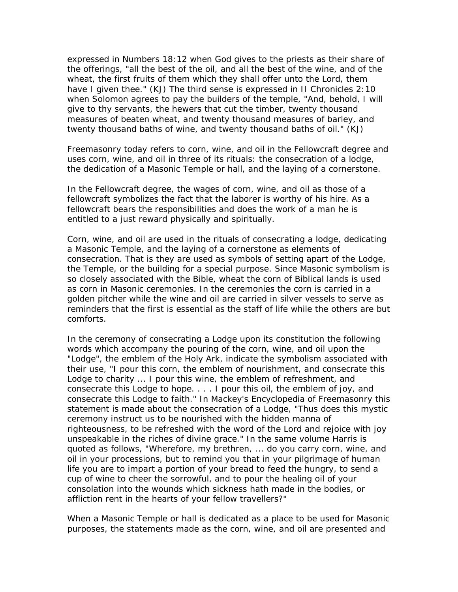expressed in Numbers 18:12 when God gives to the priests as their share of the offerings, "all the best of the oil, and all the best of the wine, and of the wheat, the first fruits of them which they shall offer unto the Lord, them have I given thee." (KJ) The third sense is expressed in II Chronicles 2:10 when Solomon agrees to pay the builders of the temple, "And, behold, I will give to thy servants, the hewers that cut the timber, twenty thousand measures of beaten wheat, and twenty thousand measures of barley, and twenty thousand baths of wine, and twenty thousand baths of oil." (KJ)

Freemasonry today refers to corn, wine, and oil in the Fellowcraft degree and uses corn, wine, and oil in three of its rituals: the consecration of a lodge, the dedication of a Masonic Temple or hall, and the laying of a cornerstone.

In the Fellowcraft degree, the wages of corn, wine, and oil as those of a fellowcraft symbolizes the fact that the laborer is worthy of his hire. As a fellowcraft bears the responsibilities and does the work of a man he is entitled to a just reward physically and spiritually.

Corn, wine, and oil are used in the rituals of consecrating a lodge, dedicating a Masonic Temple, and the laying of a cornerstone as elements of consecration. That is they are used as symbols of setting apart of the Lodge, the Temple, or the building for a special purpose. Since Masonic symbolism is so closely associated with the Bible, wheat the corn of Biblical lands is used as corn in Masonic ceremonies. In the ceremonies the corn is carried in a golden pitcher while the wine and oil are carried in silver vessels to serve as reminders that the first is essential as the staff of life while the others are but comforts.

In the ceremony of consecrating a Lodge upon its constitution the following words which accompany the pouring of the corn, wine, and oil upon the "Lodge", the emblem of the Holy Ark, indicate the symbolism associated with their use, "I pour this corn, the emblem of nourishment, and consecrate this Lodge to charity ... I pour this wine, the emblem of refreshment, and consecrate this Lodge to hope. . . . I pour this oil, the emblem of joy, and consecrate this Lodge to faith." In Mackey's Encyclopedia of Freemasonry this statement is made about the consecration of a Lodge, "Thus does this mystic ceremony instruct us to be nourished with the hidden manna of righteousness, to be refreshed with the word of the Lord and rejoice with joy unspeakable in the riches of divine grace." In the same volume Harris is quoted as follows, "Wherefore, my brethren, ... do you carry corn, wine, and oil in your processions, but to remind you that in your pilgrimage of human life you are to impart a portion of your bread to feed the hungry, to send a cup of wine to cheer the sorrowful, and to pour the healing oil of your consolation into the wounds which sickness hath made in the bodies, or affliction rent in the hearts of your fellow travellers?"

When a Masonic Temple or hall is dedicated as a place to be used for Masonic purposes, the statements made as the corn, wine, and oil are presented and